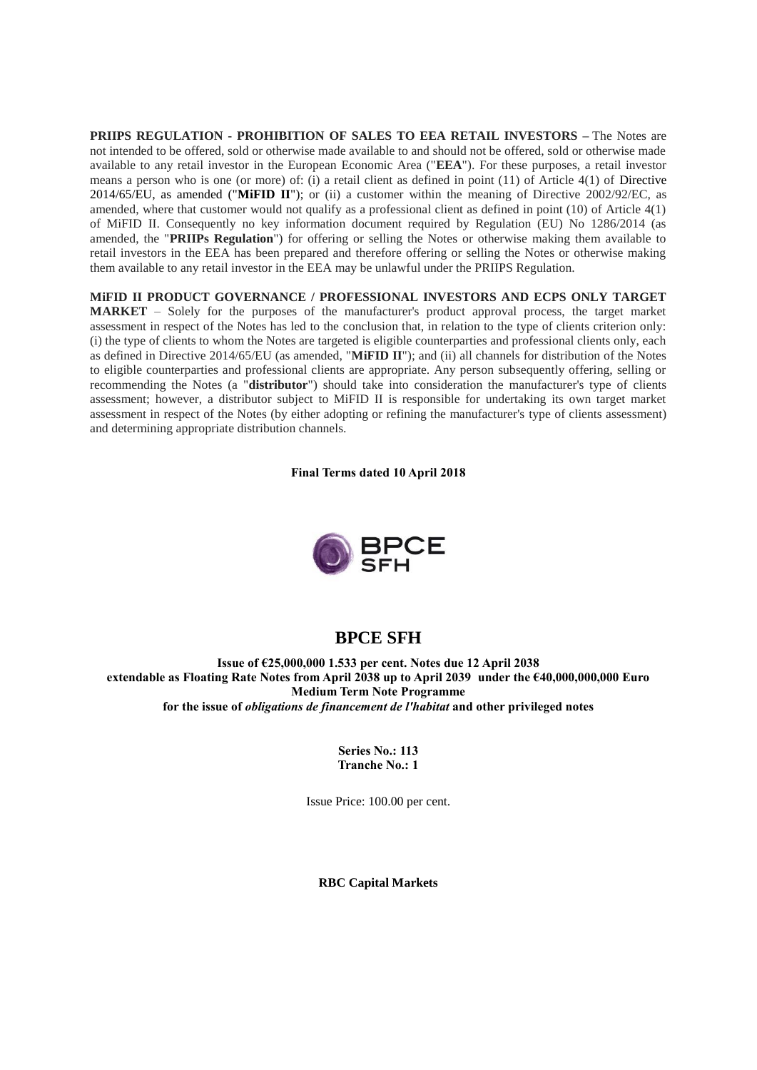**PRIIPS REGULATION - PROHIBITION OF SALES TO EEA RETAIL INVESTORS –** The Notes are not intended to be offered, sold or otherwise made available to and should not be offered, sold or otherwise made available to any retail investor in the European Economic Area ("**EEA**"). For these purposes, a retail investor means a person who is one (or more) of: (i) a retail client as defined in point (11) of Article 4(1) of Directive 2014/65/EU, as amended ("**MiFID II**"); or (ii) a customer within the meaning of Directive 2002/92/EC, as amended, where that customer would not qualify as a professional client as defined in point (10) of Article 4(1) of MiFID II. Consequently no key information document required by Regulation (EU) No 1286/2014 (as amended, the "**PRIIPs Regulation**") for offering or selling the Notes or otherwise making them available to retail investors in the EEA has been prepared and therefore offering or selling the Notes or otherwise making them available to any retail investor in the EEA may be unlawful under the PRIIPS Regulation.

**MiFID II PRODUCT GOVERNANCE / PROFESSIONAL INVESTORS AND ECPS ONLY TARGET MARKET** – Solely for the purposes of the manufacturer's product approval process, the target market assessment in respect of the Notes has led to the conclusion that, in relation to the type of clients criterion only: (i) the type of clients to whom the Notes are targeted is eligible counterparties and professional clients only, each as defined in Directive 2014/65/EU (as amended, "**MiFID II**"); and (ii) all channels for distribution of the Notes to eligible counterparties and professional clients are appropriate. Any person subsequently offering, selling or recommending the Notes (a "**distributor**") should take into consideration the manufacturer's type of clients assessment; however, a distributor subject to MiFID II is responsible for undertaking its own target market assessment in respect of the Notes (by either adopting or refining the manufacturer's type of clients assessment) and determining appropriate distribution channels.

**Final Terms dated 10 April 2018**



# **BPCE SFH**

**Issue of €25,000,000 1.533 per cent. Notes due 12 April 2038 extendable as Floating Rate Notes from April 2038 up to April 2039 under the €40,000,000,000 Euro Medium Term Note Programme for the issue of** *obligations de financement de l'habitat* **and other privileged notes**

> **Series No.: 113 Tranche No.: 1**

Issue Price: 100.00 per cent.

**RBC Capital Markets**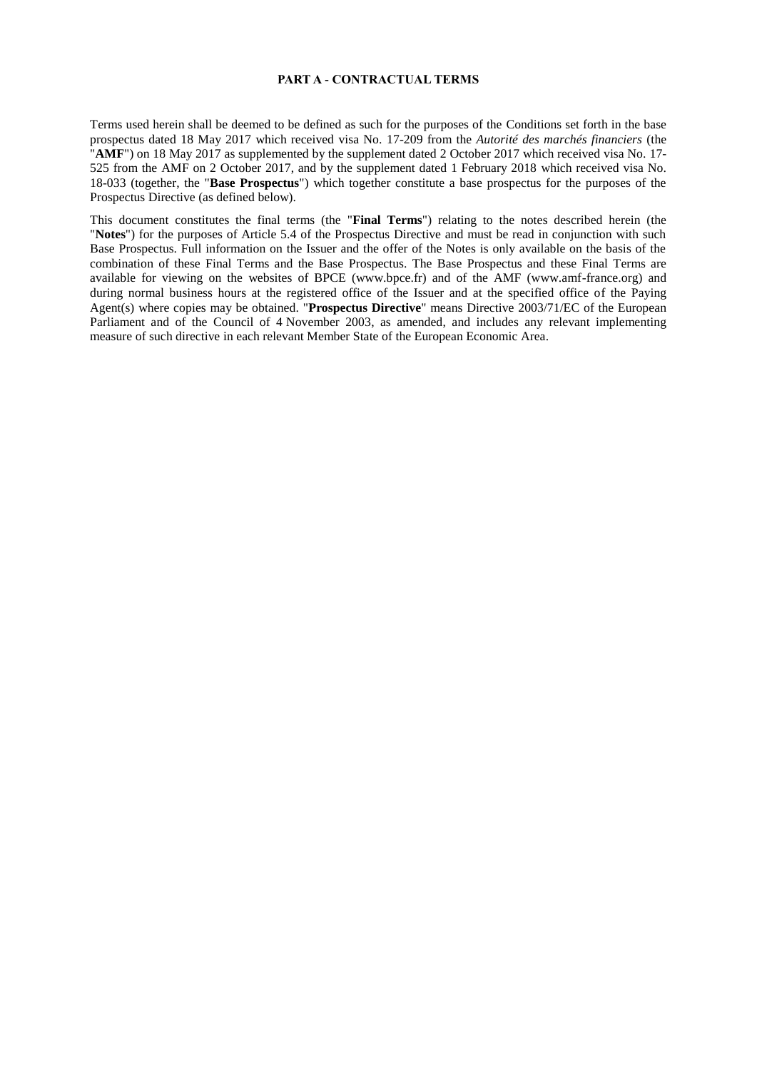#### **PART A - CONTRACTUAL TERMS**

Terms used herein shall be deemed to be defined as such for the purposes of the Conditions set forth in the base prospectus dated 18 May 2017 which received visa No. 17-209 from the *Autorité des marchés financiers* (the "AMF") on 18 May 2017 as supplemented by the supplement dated 2 October 2017 which received visa No. 17-525 from the AMF on 2 October 2017, and by the supplement dated 1 February 2018 which received visa No. 18-033 (together, the "**Base Prospectus**") which together constitute a base prospectus for the purposes of the Prospectus Directive (as defined below).

This document constitutes the final terms (the "**Final Terms**") relating to the notes described herein (the "**Notes**") for the purposes of Article 5.4 of the Prospectus Directive and must be read in conjunction with such Base Prospectus. Full information on the Issuer and the offer of the Notes is only available on the basis of the combination of these Final Terms and the Base Prospectus. The Base Prospectus and these Final Terms are available for viewing on the websites of BPCE (www.bpce.fr) and of the AMF (www.amf-france.org) and during normal business hours at the registered office of the Issuer and at the specified office of the Paying Agent(s) where copies may be obtained. "**Prospectus Directive**" means Directive 2003/71/EC of the European Parliament and of the Council of 4 November 2003, as amended, and includes any relevant implementing measure of such directive in each relevant Member State of the European Economic Area.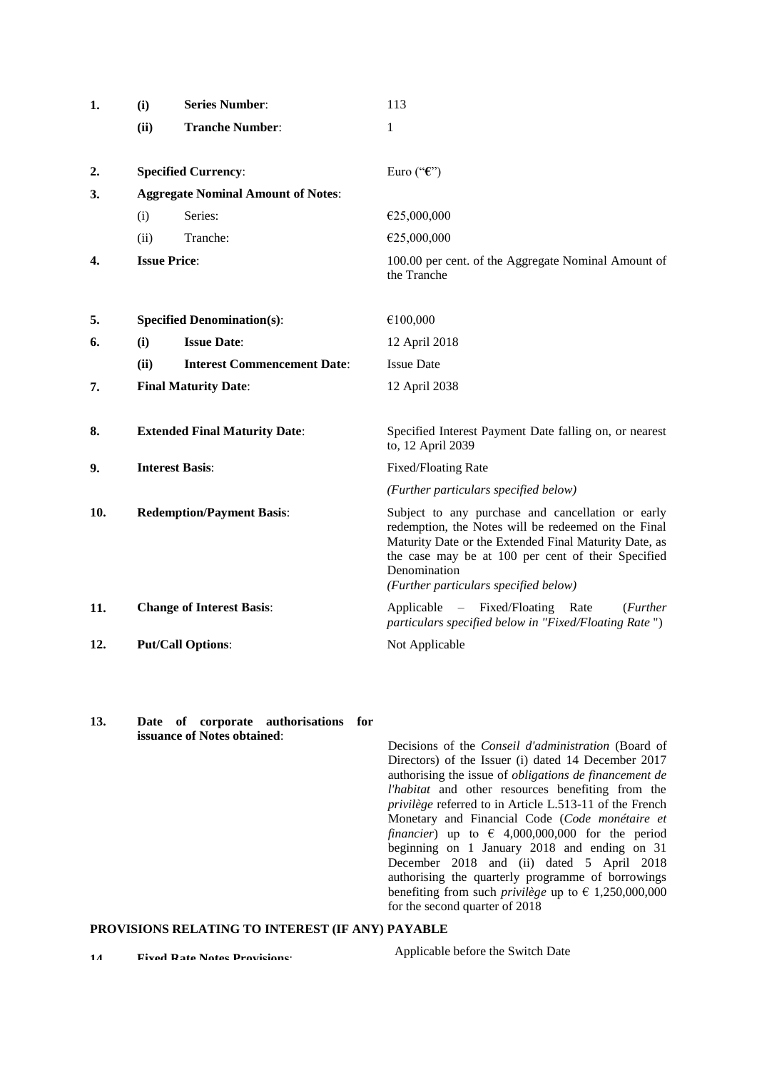| 1.  | (i)                                       | <b>Series Number:</b>                | 113                                                                                                                                                                                                                                                                              |  |
|-----|-------------------------------------------|--------------------------------------|----------------------------------------------------------------------------------------------------------------------------------------------------------------------------------------------------------------------------------------------------------------------------------|--|
|     | (ii)                                      | <b>Tranche Number:</b>               | 1                                                                                                                                                                                                                                                                                |  |
|     |                                           |                                      |                                                                                                                                                                                                                                                                                  |  |
| 2.  |                                           | <b>Specified Currency:</b>           | Euro (" $\epsilon$ ")                                                                                                                                                                                                                                                            |  |
| 3.  | <b>Aggregate Nominal Amount of Notes:</b> |                                      |                                                                                                                                                                                                                                                                                  |  |
|     | (i)                                       | Series:                              | €25,000,000                                                                                                                                                                                                                                                                      |  |
|     | (ii)                                      | Tranche:                             | €25,000,000                                                                                                                                                                                                                                                                      |  |
| 4.  | <b>Issue Price:</b>                       |                                      | 100.00 per cent. of the Aggregate Nominal Amount of<br>the Tranche                                                                                                                                                                                                               |  |
| 5.  |                                           | <b>Specified Denomination(s):</b>    | €100,000                                                                                                                                                                                                                                                                         |  |
| 6.  | (i)                                       | <b>Issue Date:</b>                   | 12 April 2018                                                                                                                                                                                                                                                                    |  |
|     | (ii)                                      | <b>Interest Commencement Date:</b>   | <b>Issue Date</b>                                                                                                                                                                                                                                                                |  |
| 7.  |                                           | <b>Final Maturity Date:</b>          | 12 April 2038                                                                                                                                                                                                                                                                    |  |
| 8.  |                                           | <b>Extended Final Maturity Date:</b> | Specified Interest Payment Date falling on, or nearest<br>to, 12 April 2039                                                                                                                                                                                                      |  |
| 9.  | <b>Interest Basis:</b>                    |                                      | Fixed/Floating Rate                                                                                                                                                                                                                                                              |  |
|     |                                           |                                      | (Further particulars specified below)                                                                                                                                                                                                                                            |  |
| 10. | <b>Redemption/Payment Basis:</b>          |                                      | Subject to any purchase and cancellation or early<br>redemption, the Notes will be redeemed on the Final<br>Maturity Date or the Extended Final Maturity Date, as<br>the case may be at 100 per cent of their Specified<br>Denomination<br>(Further particulars specified below) |  |
| 11. |                                           | <b>Change of Interest Basis:</b>     | Applicable – Fixed/Floating Rate<br>( <i>Further</i><br>particulars specified below in "Fixed/Floating Rate")                                                                                                                                                                    |  |
| 12. |                                           | <b>Put/Call Options:</b>             | Not Applicable                                                                                                                                                                                                                                                                   |  |

**13. Date of corporate authorisations for issuance of Notes obtained**:

Decisions of the *Conseil d'administration* (Board of Directors) of the Issuer (i) dated 14 December 2017 authorising the issue of *obligations de financement de l'habitat* and other resources benefiting from the *privilège* referred to in Article L.513-11 of the French Monetary and Financial Code (*Code monétaire et financier*) up to  $\epsilon$  4,000,000,000 for the period beginning on 1 January 2018 and ending on 31 December 2018 and (ii) dated 5 April 2018 authorising the quarterly programme of borrowings benefiting from such *privilège* up to  $\epsilon$  1,250,000,000 for the second quarter of 2018

# **PROVISIONS RELATING TO INTEREST (IF ANY) PAYABLE**

Applicable before the Switch Date

**14. Fixed Rate Notes Provisions**: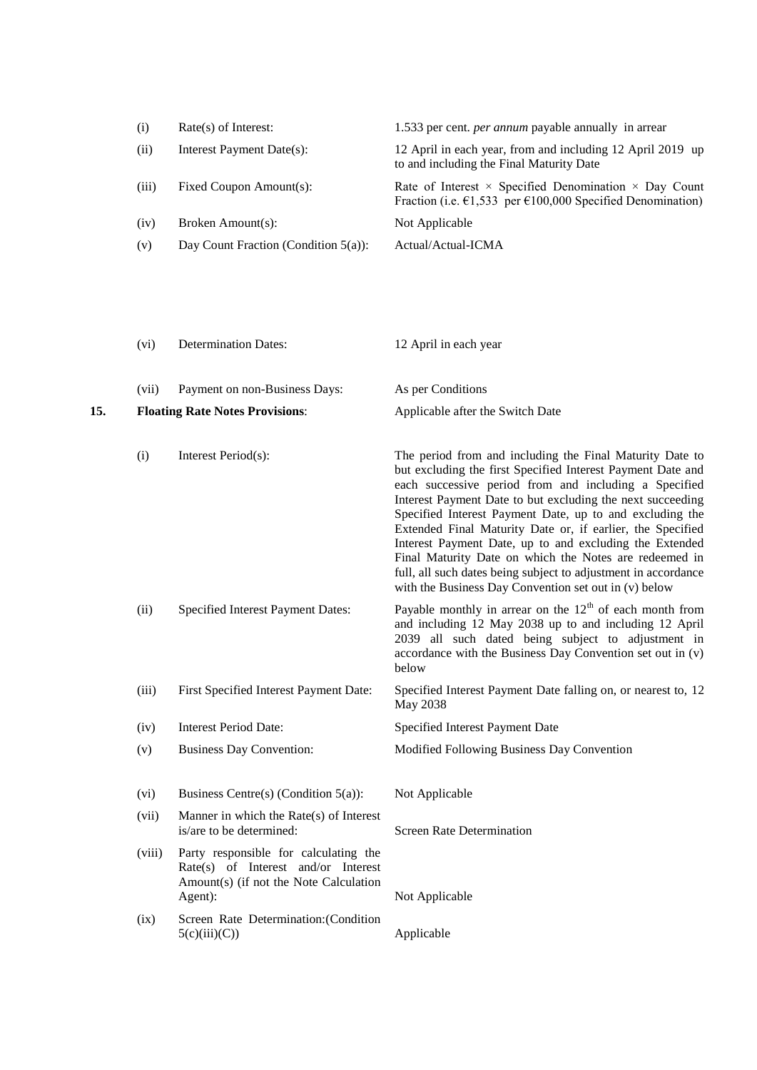| (i)   | $Rate(s)$ of Interest:                  | 1.533 per cent. <i>per annum</i> payable annually in arrear                                                                                           |
|-------|-----------------------------------------|-------------------------------------------------------------------------------------------------------------------------------------------------------|
| (ii)  | Interest Payment Date(s):               | 12 April in each year, from and including 12 April 2019 up<br>to and including the Final Maturity Date                                                |
| (iii) | Fixed Coupon Amount(s):                 | Rate of Interest $\times$ Specified Denomination $\times$ Day Count<br>Fraction (i.e. $\epsilon$ 1,533 per $\epsilon$ 100,000 Specified Denomination) |
| (iv)  | Broken Amount(s):                       | Not Applicable                                                                                                                                        |
| (v)   | Day Count Fraction (Condition $5(a)$ ): | Actual/Actual-ICMA                                                                                                                                    |

- (vi) Determination Dates: 12 April in each year
- (vii) Payment on non-Business Days: As per Conditions
- **15. Floating Rate Notes Provisions**: Applicable after the Switch Date
	- (i) Interest Period(s): The period from and including the Final Maturity Date to but excluding the first Specified Interest Payment Date and each successive period from and including a Specified
		- Interest Payment Date to but excluding the next succeeding Specified Interest Payment Date, up to and excluding the Extended Final Maturity Date or, if earlier, the Specified Interest Payment Date, up to and excluding the Extended Final Maturity Date on which the Notes are redeemed in full, all such dates being subject to adjustment in accordance with the Business Day Convention set out in (v) below
	- (ii) Specified Interest Payment Dates: Payable monthly in arrear on the  $12<sup>th</sup>$  of each month from and including 12 May 2038 up to and including 12 April 2039 all such dated being subject to adjustment in accordance with the Business Day Convention set out in (v) below
	- (iii) First Specified Interest Payment Date: Specified Interest Payment Date falling on, or nearest to, 12 May 2038
	- (iv) Interest Period Date: Specified Interest Payment Date
	- (v) Business Day Convention: Modified Following Business Day Convention
	- (vi) Business Centre(s) (Condition 5(a)): Not Applicable
	- (vii) Manner in which the Rate(s) of Interest is/are to be determined: Screen Rate Determination
	- (viii) Party responsible for calculating the Rate(s) of Interest and/or Interest Amount(s) (if not the Note Calculation Agent): Not Applicable
	- (ix) Screen Rate Determination:(Condition  $5(c)(iii)(C))$  Applicable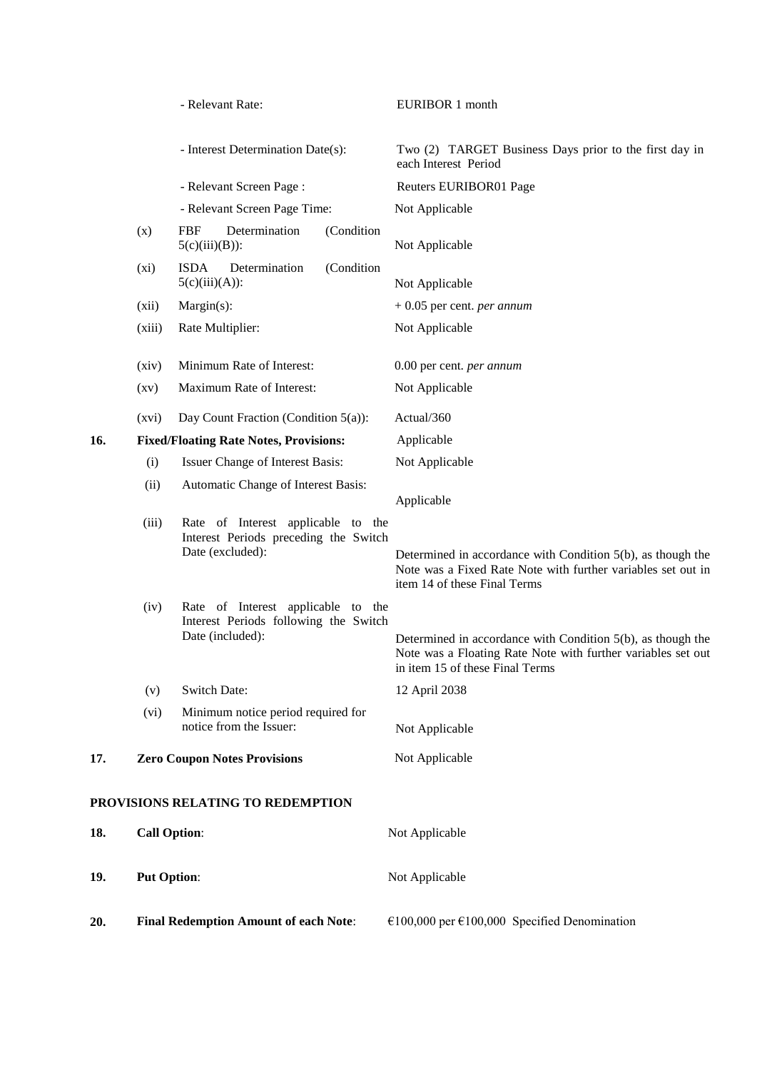|     |                     | - Relevant Rate:                                                                                | EURIBOR 1 month                                                                                                                                                |
|-----|---------------------|-------------------------------------------------------------------------------------------------|----------------------------------------------------------------------------------------------------------------------------------------------------------------|
|     |                     | - Interest Determination Date(s):                                                               | Two (2) TARGET Business Days prior to the first day in<br>each Interest Period                                                                                 |
|     |                     | - Relevant Screen Page:                                                                         | Reuters EURIBOR01 Page                                                                                                                                         |
|     |                     | - Relevant Screen Page Time:                                                                    | Not Applicable                                                                                                                                                 |
|     | (x)                 | <b>FBF</b><br>Determination<br>(Condition<br>$5(c)(iii)(B))$ :                                  | Not Applicable                                                                                                                                                 |
|     | $(x_i)$             | <b>ISDA</b><br>Determination<br>(Condition<br>$5(c)(iii)(A))$ :                                 | Not Applicable                                                                                                                                                 |
|     | (xii)               | Margin(s):                                                                                      | $+0.05$ per cent. <i>per annum</i>                                                                                                                             |
|     | (xiii)              | Rate Multiplier:                                                                                | Not Applicable                                                                                                                                                 |
|     | (xiv)               | Minimum Rate of Interest:                                                                       | 0.00 per cent. per annum                                                                                                                                       |
|     | $\left( xy\right)$  | Maximum Rate of Interest:                                                                       | Not Applicable                                                                                                                                                 |
|     | (xvi)               | Day Count Fraction (Condition $5(a)$ ):                                                         | Actual/360                                                                                                                                                     |
| 16. |                     | <b>Fixed/Floating Rate Notes, Provisions:</b>                                                   | Applicable                                                                                                                                                     |
|     | (i)                 | Issuer Change of Interest Basis:                                                                | Not Applicable                                                                                                                                                 |
|     | (ii)                | Automatic Change of Interest Basis:                                                             | Applicable                                                                                                                                                     |
|     | (iii)               | Rate of Interest applicable to the<br>Interest Periods preceding the Switch<br>Date (excluded): | Determined in accordance with Condition $5(b)$ , as though the<br>Note was a Fixed Rate Note with further variables set out in<br>item 14 of these Final Terms |
|     | (iv)                | Rate of Interest applicable to the<br>Interest Periods following the Switch<br>Date (included): | Determined in accordance with Condition 5(b), as though the<br>Note was a Floating Rate Note with further variables set out<br>in item 15 of these Final Terms |
|     | (v)                 | Switch Date:                                                                                    | 12 April 2038                                                                                                                                                  |
|     | (vi)                | Minimum notice period required for<br>notice from the Issuer:                                   | Not Applicable                                                                                                                                                 |
| 17. |                     | <b>Zero Coupon Notes Provisions</b>                                                             | Not Applicable                                                                                                                                                 |
|     |                     | PROVISIONS RELATING TO REDEMPTION                                                               |                                                                                                                                                                |
| 18. | <b>Call Option:</b> |                                                                                                 | Not Applicable                                                                                                                                                 |
| 19. | <b>Put Option:</b>  |                                                                                                 | Not Applicable                                                                                                                                                 |
| 20. |                     | <b>Final Redemption Amount of each Note:</b>                                                    | €100,000 per €100,000 Specified Denomination                                                                                                                   |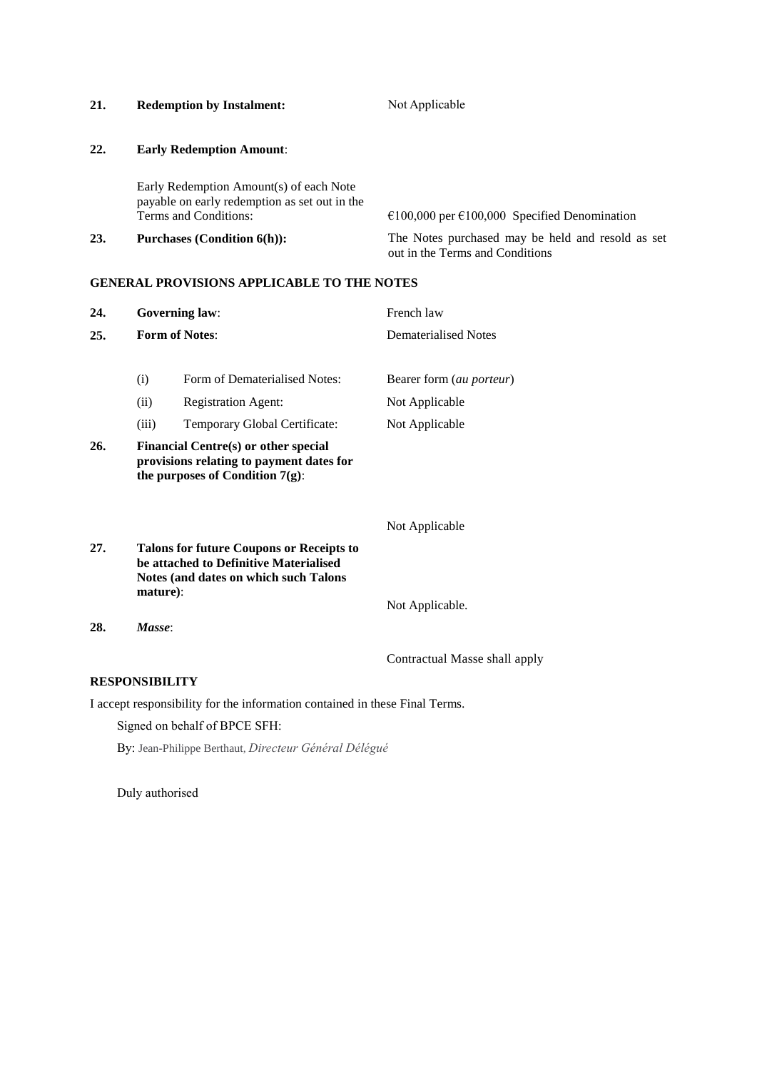| 21. | <b>Redemption by Instalment:</b>                                                                                  | Not Applicable                                                                       |
|-----|-------------------------------------------------------------------------------------------------------------------|--------------------------------------------------------------------------------------|
| 22. | <b>Early Redemption Amount:</b>                                                                                   |                                                                                      |
|     | Early Redemption Amount(s) of each Note<br>payable on early redemption as set out in the<br>Terms and Conditions: | $\epsilon$ 100,000 per $\epsilon$ 100,000 Specified Denomination                     |
| 23. | <b>Purchases (Condition 6(h)):</b>                                                                                | The Notes purchased may be held and resold as set<br>out in the Terms and Conditions |

# **GENERAL PROVISIONS APPLICABLE TO THE NOTES**

| 24.                                                                                                                           |          | <b>Governing law:</b>                                                                                                              | French law                  |  |
|-------------------------------------------------------------------------------------------------------------------------------|----------|------------------------------------------------------------------------------------------------------------------------------------|-----------------------------|--|
| 25.                                                                                                                           |          | <b>Form of Notes:</b>                                                                                                              | <b>Dematerialised Notes</b> |  |
|                                                                                                                               | (i)      | Form of Dematerialised Notes:                                                                                                      | Bearer form (au porteur)    |  |
|                                                                                                                               | (ii)     | <b>Registration Agent:</b>                                                                                                         | Not Applicable              |  |
|                                                                                                                               | (iii)    | Temporary Global Certificate:                                                                                                      | Not Applicable              |  |
| 26.<br>Financial Centre(s) or other special<br>provisions relating to payment dates for<br>the purposes of Condition $7(g)$ : |          |                                                                                                                                    |                             |  |
|                                                                                                                               |          |                                                                                                                                    | Not Applicable              |  |
| 27.                                                                                                                           | mature): | <b>Talons for future Coupons or Receipts to</b><br>be attached to Definitive Materialised<br>Notes (and dates on which such Talons | Not Applicable.             |  |
| 28.                                                                                                                           | Masse:   |                                                                                                                                    |                             |  |

Contractual Masse shall apply

# **RESPONSIBILITY**

I accept responsibility for the information contained in these Final Terms.

Signed on behalf of BPCE SFH:

By: Jean-Philippe Berthaut, *Directeur Général Délégué*

Duly authorised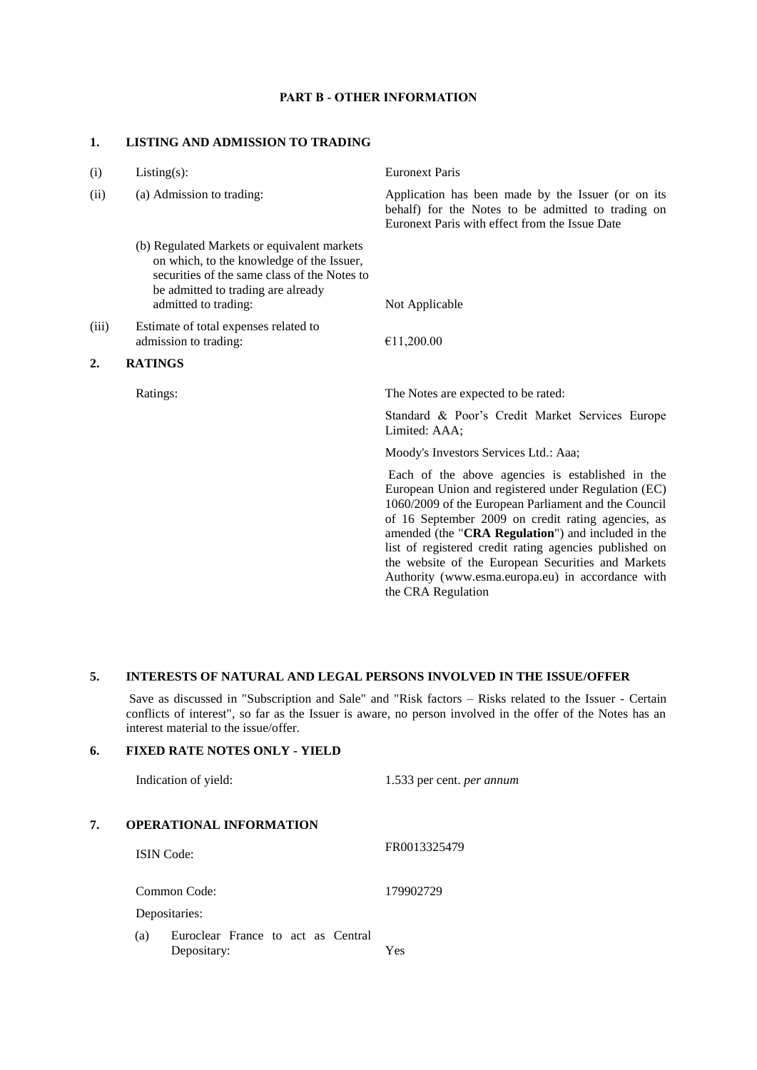### **PART B - OTHER INFORMATION**

#### **1. LISTING AND ADMISSION TO TRADING**

| (i)   | $Listing(s)$ :                                                                                                                                                                 | <b>Euronext Paris</b>                                                                                                                                                                                                                                                                                                                                                                                                                            |
|-------|--------------------------------------------------------------------------------------------------------------------------------------------------------------------------------|--------------------------------------------------------------------------------------------------------------------------------------------------------------------------------------------------------------------------------------------------------------------------------------------------------------------------------------------------------------------------------------------------------------------------------------------------|
| (ii)  | (a) Admission to trading:                                                                                                                                                      | Application has been made by the Issuer (or on its<br>behalf) for the Notes to be admitted to trading on<br>Euronext Paris with effect from the Issue Date                                                                                                                                                                                                                                                                                       |
|       | (b) Regulated Markets or equivalent markets<br>on which, to the knowledge of the Issuer,<br>securities of the same class of the Notes to<br>be admitted to trading are already |                                                                                                                                                                                                                                                                                                                                                                                                                                                  |
|       | admitted to trading:                                                                                                                                                           | Not Applicable                                                                                                                                                                                                                                                                                                                                                                                                                                   |
| (iii) | Estimate of total expenses related to<br>admission to trading:                                                                                                                 | €11,200.00                                                                                                                                                                                                                                                                                                                                                                                                                                       |
| 2.    | <b>RATINGS</b>                                                                                                                                                                 |                                                                                                                                                                                                                                                                                                                                                                                                                                                  |
|       | Ratings:                                                                                                                                                                       | The Notes are expected to be rated:                                                                                                                                                                                                                                                                                                                                                                                                              |
|       |                                                                                                                                                                                | Standard & Poor's Credit Market Services Europe<br>Limited: AAA;                                                                                                                                                                                                                                                                                                                                                                                 |
|       |                                                                                                                                                                                | Moody's Investors Services Ltd.: Aaa;                                                                                                                                                                                                                                                                                                                                                                                                            |
|       |                                                                                                                                                                                | Each of the above agencies is established in the<br>European Union and registered under Regulation (EC)<br>1060/2009 of the European Parliament and the Council<br>of 16 September 2009 on credit rating agencies, as<br>amended (the "CRA Regulation") and included in the<br>list of registered credit rating agencies published on<br>the website of the European Securities and Markets<br>Authority (www.esma.europa.eu) in accordance with |

# **5. INTERESTS OF NATURAL AND LEGAL PERSONS INVOLVED IN THE ISSUE/OFFER**

Save as discussed in "Subscription and Sale" and "Risk factors – Risks related to the Issuer - Certain conflicts of interest", so far as the Issuer is aware, no person involved in the offer of the Notes has an interest material to the issue/offer*.*

the CRA Regulation

# **6. FIXED RATE NOTES ONLY - YIELD**

|    | Indication of yield:                                     | 1.533 per cent. <i>per annum</i> |
|----|----------------------------------------------------------|----------------------------------|
| 7. | <b>OPERATIONAL INFORMATION</b>                           |                                  |
|    | <b>ISIN</b> Code:                                        | FR0013325479                     |
|    | Common Code:                                             | 179902729                        |
|    | Depositaries:                                            |                                  |
|    | Euroclear France to act as Central<br>(a)<br>Depositary: | Yes                              |